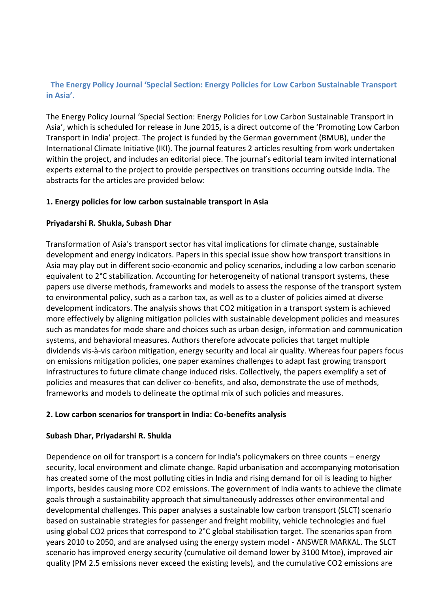# **The Energy Policy Journal 'Special Section: Energy Policies for Low Carbon Sustainable Transport in Asia'.**

The Energy Policy Journal 'Special Section: Energy Policies for Low Carbon Sustainable Transport in Asia', which is scheduled for release in June 2015, is a direct outcome of the 'Promoting Low Carbon Transport in India' project. The project is funded by the German government (BMUB), under the International Climate Initiative (IKI). The journal features 2 articles resulting from work undertaken within the project, and includes an editorial piece. The journal's editorial team invited international experts external to the project to provide perspectives on transitions occurring outside India. The abstracts for the articles are provided below:

## **1. Energy policies for low carbon sustainable transport in Asia**

## **Priyadarshi R. Shukla, Subash Dhar**

Transformation of Asia's transport sector has vital implications for climate change, sustainable development and energy indicators. Papers in this special issue show how transport transitions in Asia may play out in different socio-economic and policy scenarios, including a low carbon scenario equivalent to 2°C stabilization. Accounting for heterogeneity of national transport systems, these papers use diverse methods, frameworks and models to assess the response of the transport system to environmental policy, such as a carbon tax, as well as to a cluster of policies aimed at diverse development indicators. The analysis shows that CO2 mitigation in a transport system is achieved more effectively by aligning mitigation policies with sustainable development policies and measures such as mandates for mode share and choices such as urban design, information and communication systems, and behavioral measures. Authors therefore advocate policies that target multiple dividends vis-à-vis carbon mitigation, energy security and local air quality. Whereas four papers focus on emissions mitigation policies, one paper examines challenges to adapt fast growing transport infrastructures to future climate change induced risks. Collectively, the papers exemplify a set of policies and measures that can deliver co-benefits, and also, demonstrate the use of methods, frameworks and models to delineate the optimal mix of such policies and measures.

### **2. Low carbon scenarios for transport in India: Co-benefits analysis**

### **Subash Dhar, Priyadarshi R. Shukla**

Dependence on oil for transport is a concern for India's policymakers on three counts – energy security, local environment and climate change. Rapid urbanisation and accompanying motorisation has created some of the most polluting cities in India and rising demand for oil is leading to higher imports, besides causing more CO2 emissions. The government of India wants to achieve the climate goals through a sustainability approach that simultaneously addresses other environmental and developmental challenges. This paper analyses a sustainable low carbon transport (SLCT) scenario based on sustainable strategies for passenger and freight mobility, vehicle technologies and fuel using global CO2 prices that correspond to 2°C global stabilisation target. The scenarios span from years 2010 to 2050, and are analysed using the energy system model - ANSWER MARKAL. The SLCT scenario has improved energy security (cumulative oil demand lower by 3100 Mtoe), improved air quality (PM 2.5 emissions never exceed the existing levels), and the cumulative CO2 emissions are